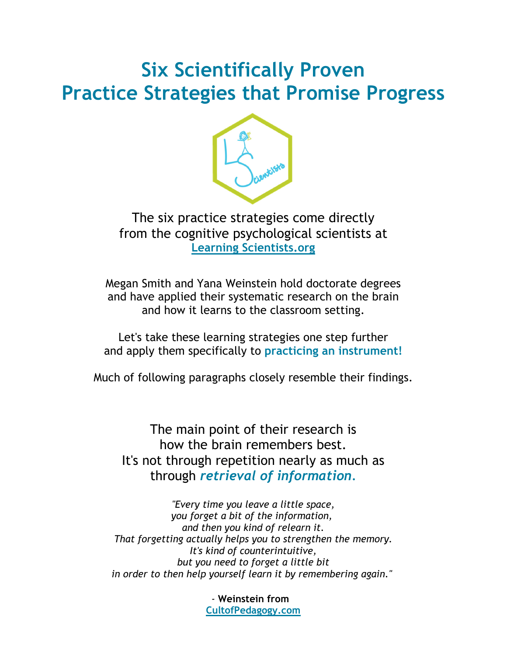# **Six Scientifically Proven Practice Strategies that Promise Progress**



The six practice strategies come directly from the cognitive psychological scientists at **Learning Scientists.org** 

Megan Smith and Yana Weinstein hold doctorate degrees and have applied their systematic research on the brain and how it learns to the classroom setting.

Let's take these learning strategies one step further and apply them specifically to **practicing an instrument!**

Much of following paragraphs closely resemble their findings.

The main point of their research is how the brain remembers best. It's not through repetition nearly as much as through *retrieval of information.* 

*"Every time you leave a little space, you forget a bit of the information, and then you kind of relearn it. That forgetting actually helps you to strengthen the memory. It's kind of counterintuitive, but you need to forget a little bit in order to then help yourself learn it by remembering again."* 

> *-* **Weinstein from CultofPedagogy.com**